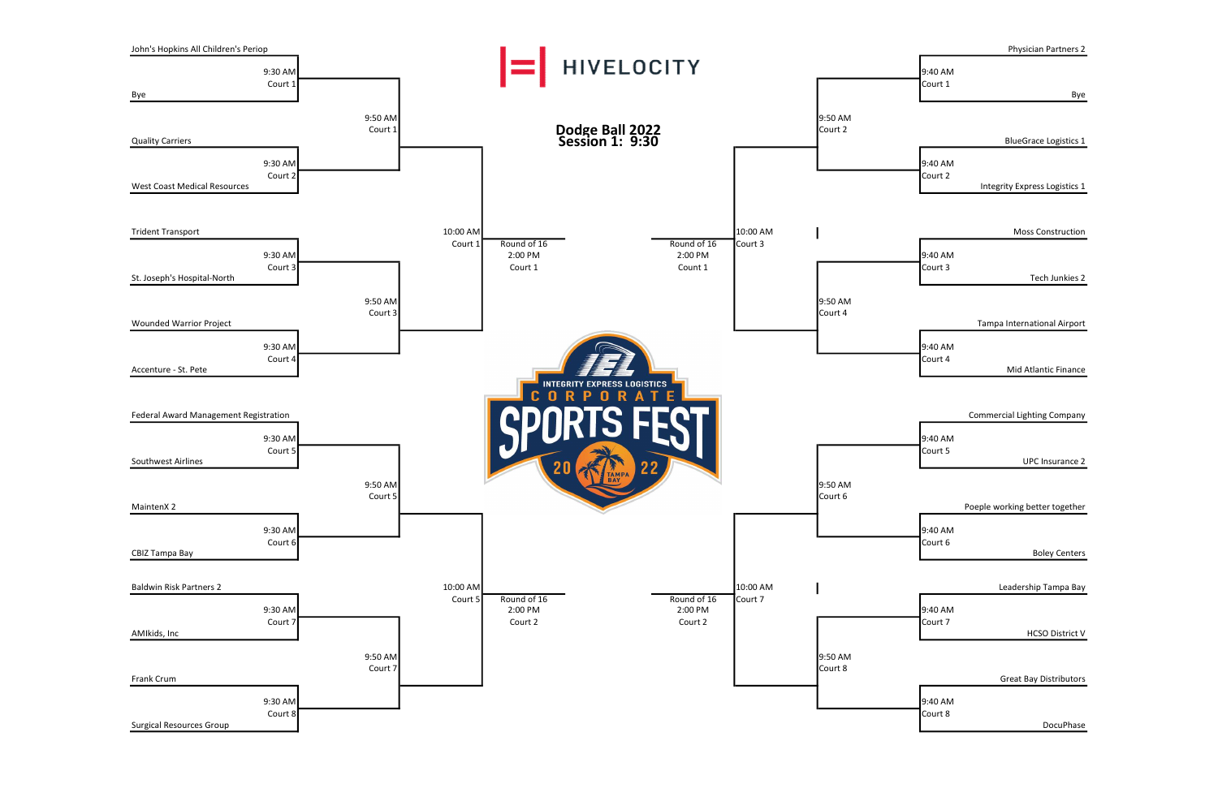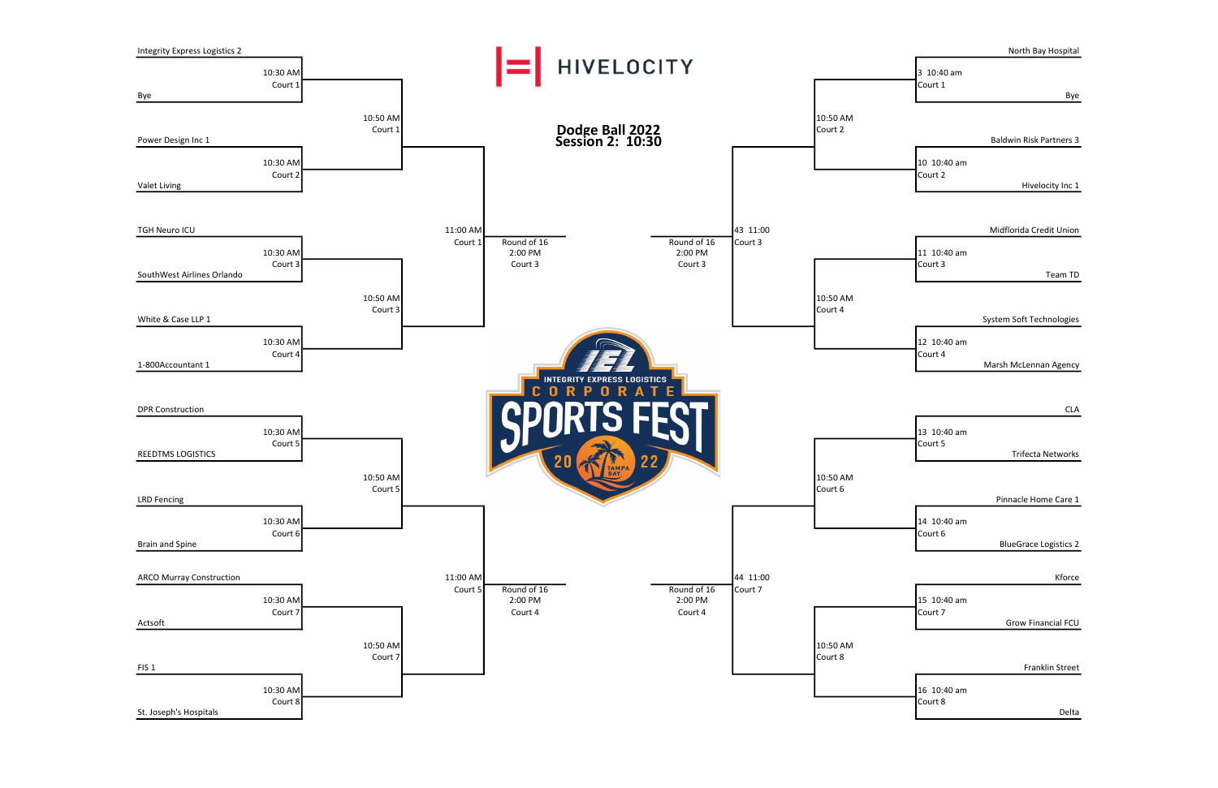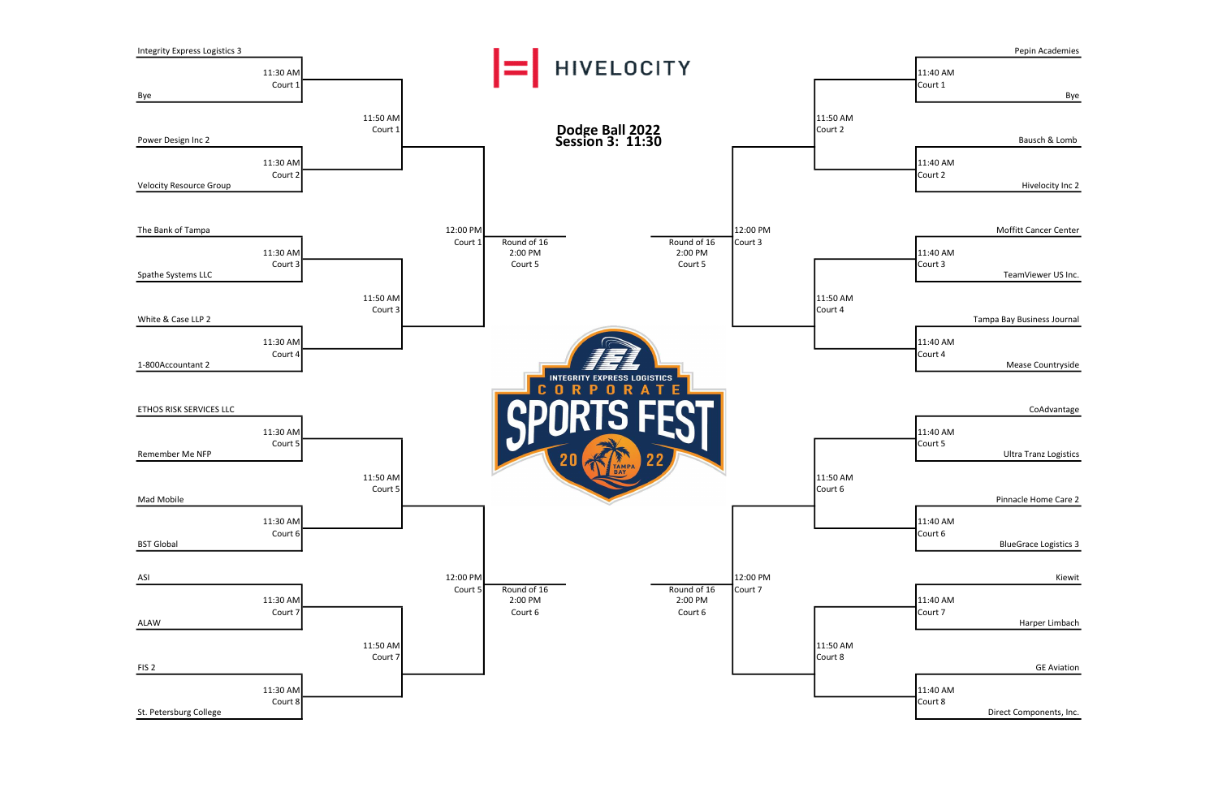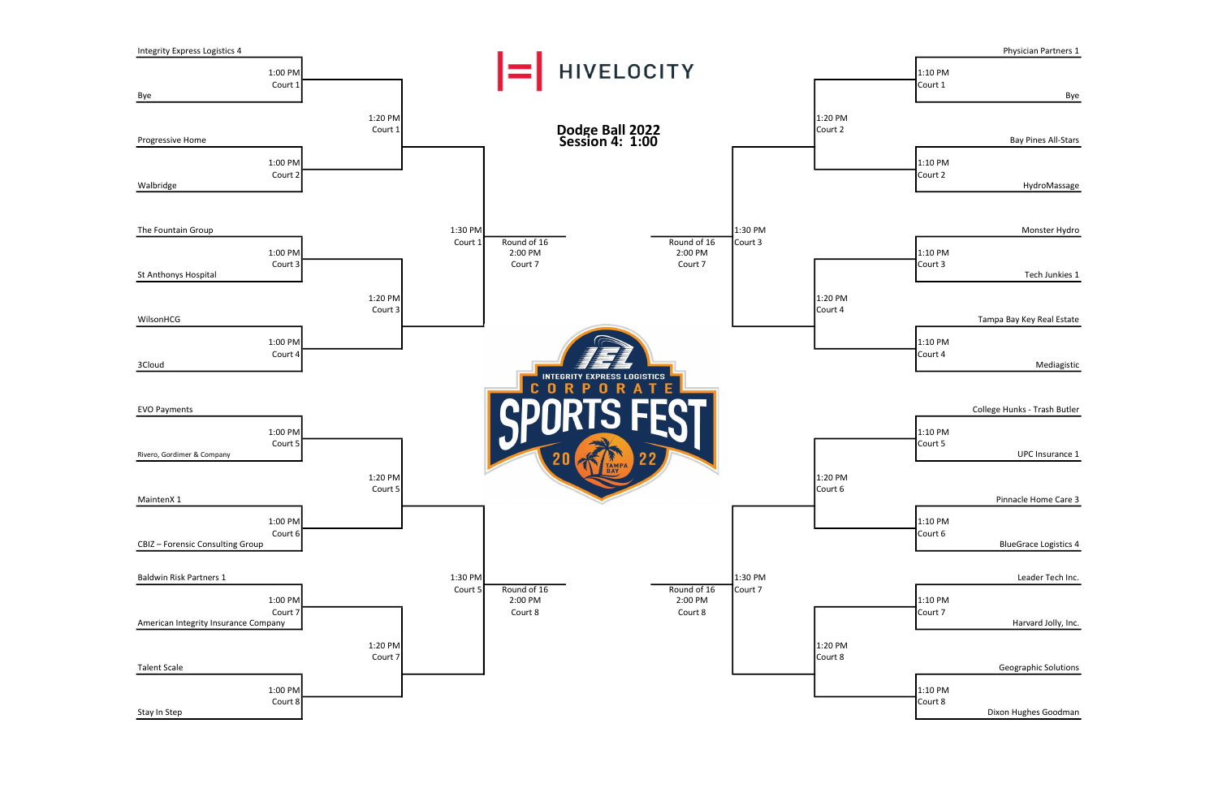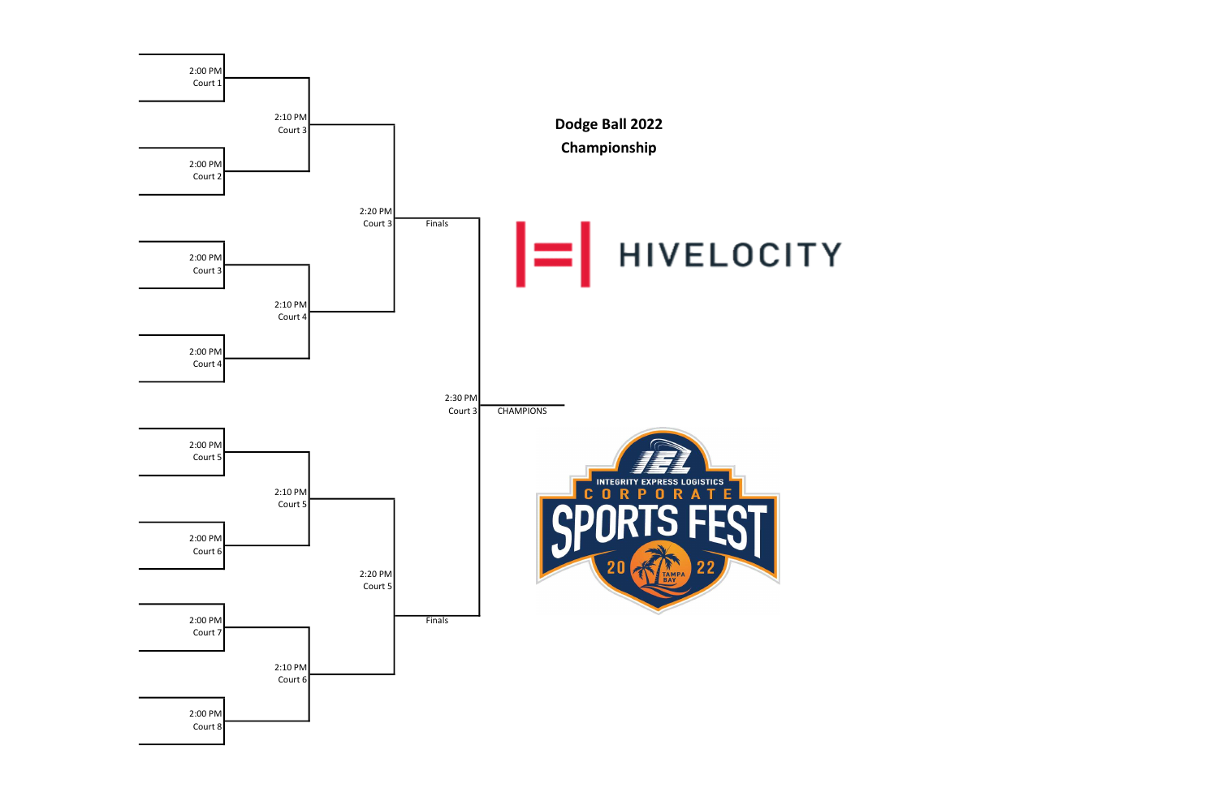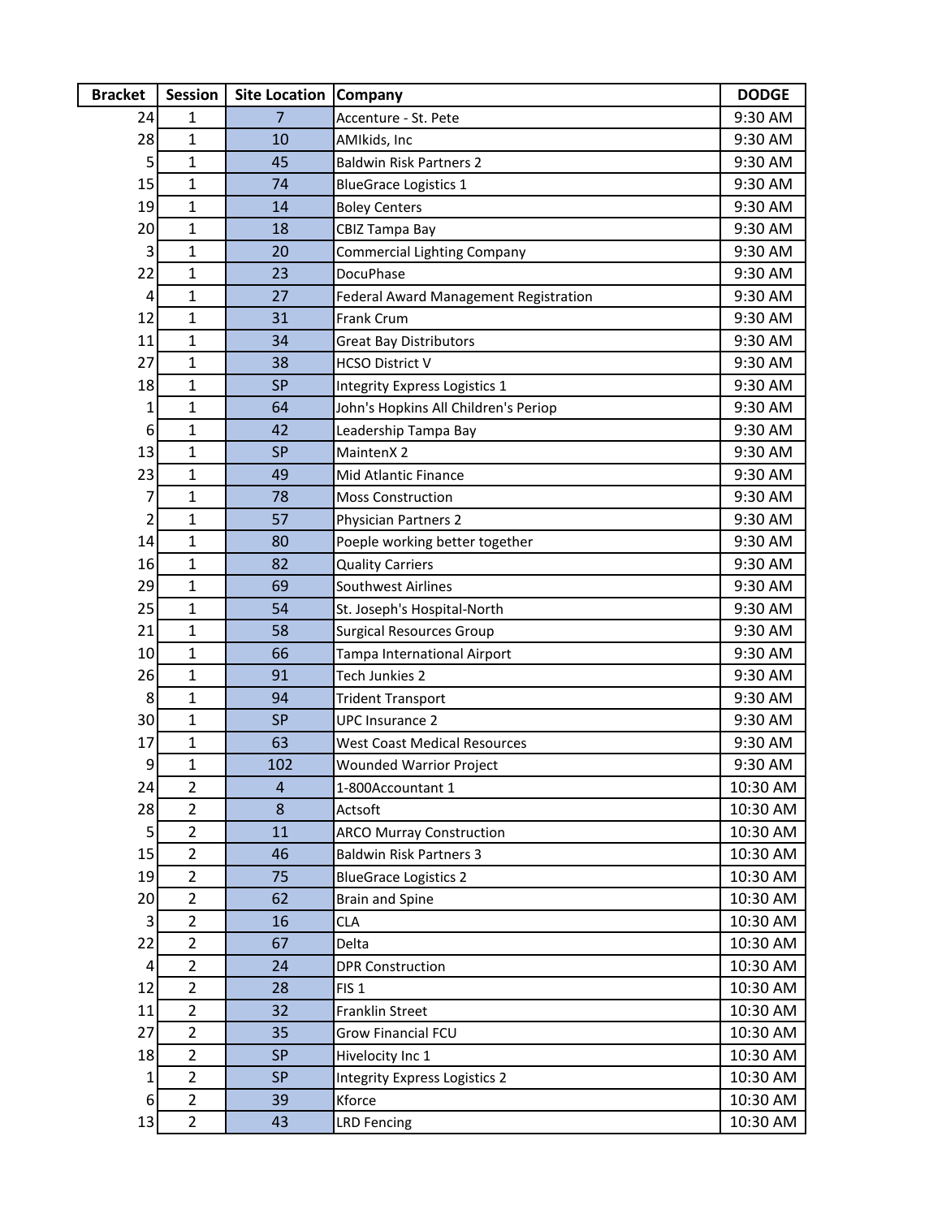| <b>Bracket</b> | <b>Session</b>                   | <b>Site Location</b> | <b>Company</b>                               | <b>DODGE</b> |
|----------------|----------------------------------|----------------------|----------------------------------------------|--------------|
| 24             | 1                                | 7                    | Accenture - St. Pete                         | 9:30 AM      |
| 28             | 1                                | 10                   | AMIkids, Inc                                 | 9:30 AM      |
| 5              | $\mathbf{1}$                     | 45                   | <b>Baldwin Risk Partners 2</b>               | 9:30 AM      |
| 15             | $\mathbf{1}$                     | 74                   | <b>BlueGrace Logistics 1</b>                 | 9:30 AM      |
| 19             | $\mathbf{1}$                     | 14                   | <b>Boley Centers</b>                         | 9:30 AM      |
| 20             | $\mathbf{1}$                     | 18                   | CBIZ Tampa Bay                               | 9:30 AM      |
| 3              | $\mathbf{1}$                     | 20                   | Commercial Lighting Company                  | 9:30 AM      |
| 22             | $\mathbf{1}$                     | 23                   | DocuPhase                                    | 9:30 AM      |
| 4              | $\mathbf{1}$                     | 27                   | <b>Federal Award Management Registration</b> | 9:30 AM      |
| 12             | $\mathbf{1}$                     | 31                   | Frank Crum                                   | 9:30 AM      |
| 11             | $\mathbf{1}$                     | 34                   | <b>Great Bay Distributors</b>                | 9:30 AM      |
| 27             | $\mathbf{1}$                     | 38                   | <b>HCSO District V</b>                       | 9:30 AM      |
| 18             | $\mathbf{1}$                     | <b>SP</b>            | Integrity Express Logistics 1                | 9:30 AM      |
| 1              | $\mathbf{1}$                     | 64                   | John's Hopkins All Children's Periop         | 9:30 AM      |
| 6              | $\mathbf{1}$                     | 42                   | Leadership Tampa Bay                         | 9:30 AM      |
| 13             | $\mathbf{1}$                     | <b>SP</b>            | MaintenX 2                                   | 9:30 AM      |
| 23             | $\mathbf{1}$                     | 49                   | Mid Atlantic Finance                         | 9:30 AM      |
| 7              | $\mathbf{1}$                     | 78                   | <b>Moss Construction</b>                     | 9:30 AM      |
| 2              | $\mathbf{1}$                     | 57                   | <b>Physician Partners 2</b>                  | 9:30 AM      |
| 14             | $\mathbf{1}$                     | 80                   | Poeple working better together               | 9:30 AM      |
| 16             | 1                                | 82                   | <b>Quality Carriers</b>                      | 9:30 AM      |
| 29             | $\mathbf{1}$                     | 69                   | Southwest Airlines                           | 9:30 AM      |
| 25             | $\mathbf{1}$                     | 54                   | St. Joseph's Hospital-North                  | 9:30 AM      |
| 21             | $\mathbf{1}$                     | 58                   | <b>Surgical Resources Group</b>              | 9:30 AM      |
| 10             | $\mathbf{1}$                     | 66                   | Tampa International Airport                  | 9:30 AM      |
| 26             | $\mathbf{1}$                     | 91                   | Tech Junkies 2                               | 9:30 AM      |
| 8              | $\mathbf{1}$                     | 94                   | <b>Trident Transport</b>                     | 9:30 AM      |
| 30             | $\mathbf{1}$                     | <b>SP</b>            | <b>UPC Insurance 2</b>                       | 9:30 AM      |
| 17             | 1                                | 63                   | <b>West Coast Medical Resources</b>          | 9:30 AM      |
| 9              | $\mathbf{1}$                     | 102                  | <b>Wounded Warrior Project</b>               | 9:30 AM      |
| 24             | $\overline{2}$                   | $\overline{a}$       | 1-800Accountant 1                            | 10:30 AM     |
| 28             | $\overline{2}$                   | 8                    | Actsoft                                      | 10:30 AM     |
| 5              | $\overline{2}$                   | 11                   | <b>ARCO Murray Construction</b>              | 10:30 AM     |
| 15             | $\overline{2}$                   | 46                   | <b>Baldwin Risk Partners 3</b>               | 10:30 AM     |
| 19             | $\overline{2}$                   | 75                   | <b>BlueGrace Logistics 2</b>                 | 10:30 AM     |
| 20             | $\overline{2}$                   | 62                   | <b>Brain and Spine</b>                       | 10:30 AM     |
| 3              | $\overline{2}$                   | 16                   | <b>CLA</b>                                   | 10:30 AM     |
| 22             | $\overline{2}$                   | 67                   | Delta                                        | 10:30 AM     |
| 4              | $\overline{2}$                   | 24                   | <b>DPR Construction</b>                      | 10:30 AM     |
| 12             | $\overline{2}$                   | 28                   | FIS <sub>1</sub>                             | 10:30 AM     |
| 11             | $\overline{2}$                   | 32                   | Franklin Street                              | 10:30 AM     |
| 27             | $\overline{2}$                   | 35                   | <b>Grow Financial FCU</b>                    | 10:30 AM     |
| 18             | $\overline{2}$<br>$\overline{2}$ | <b>SP</b>            | Hivelocity Inc 1                             | 10:30 AM     |
| 1              |                                  | <b>SP</b>            | <b>Integrity Express Logistics 2</b>         | 10:30 AM     |
| 6              | $\overline{2}$                   | 39                   | Kforce                                       | 10:30 AM     |
| 13             | $\overline{2}$                   | 43                   | <b>LRD Fencing</b>                           | 10:30 AM     |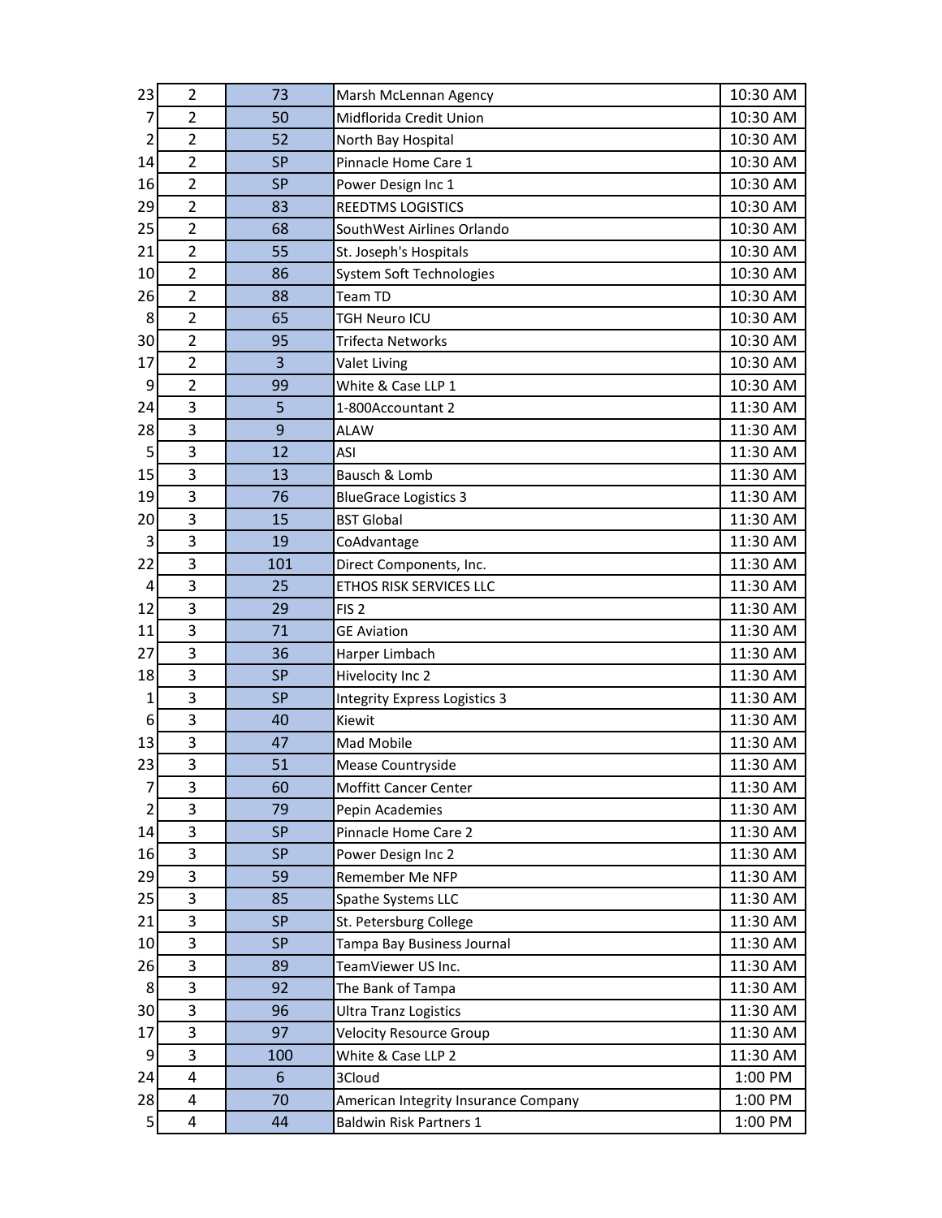| 23 | 2                       | 73        | Marsh McLennan Agency                | 10:30 AM |
|----|-------------------------|-----------|--------------------------------------|----------|
| 7  | $\overline{2}$          | 50        | Midflorida Credit Union              | 10:30 AM |
| 2  | $\overline{2}$          | 52        | North Bay Hospital                   | 10:30 AM |
| 14 | $\overline{2}$          | <b>SP</b> | Pinnacle Home Care 1                 | 10:30 AM |
| 16 | $\overline{2}$          | <b>SP</b> | Power Design Inc 1                   | 10:30 AM |
| 29 | $\overline{2}$          | 83        | REEDTMS LOGISTICS                    | 10:30 AM |
| 25 | $\overline{2}$          | 68        | SouthWest Airlines Orlando           | 10:30 AM |
| 21 | $\overline{2}$          | 55        | St. Joseph's Hospitals               | 10:30 AM |
| 10 | $\overline{2}$          | 86        | System Soft Technologies             | 10:30 AM |
| 26 | $\overline{2}$          | 88        | Team TD                              | 10:30 AM |
| 8  | $\overline{2}$          | 65        | <b>TGH Neuro ICU</b>                 | 10:30 AM |
| 30 | $\overline{2}$          | 95        | <b>Trifecta Networks</b>             | 10:30 AM |
| 17 | $\overline{2}$          | 3         | Valet Living                         | 10:30 AM |
| 9  | $\overline{2}$          | 99        | White & Case LLP 1                   | 10:30 AM |
| 24 | 3                       | 5         | 1-800Accountant 2                    | 11:30 AM |
| 28 | 3                       | 9         | <b>ALAW</b>                          | 11:30 AM |
| 5  | 3                       | 12        | ASI                                  | 11:30 AM |
| 15 | 3                       | 13        | Bausch & Lomb                        | 11:30 AM |
| 19 | 3                       | 76        | <b>BlueGrace Logistics 3</b>         | 11:30 AM |
| 20 | 3                       | 15        | <b>BST Global</b>                    | 11:30 AM |
| 3  | 3                       | 19        | CoAdvantage                          | 11:30 AM |
| 22 | 3                       | 101       | Direct Components, Inc.              | 11:30 AM |
| 4  | 3                       | 25        | ETHOS RISK SERVICES LLC              | 11:30 AM |
| 12 | 3                       | 29        | FIS <sub>2</sub>                     | 11:30 AM |
| 11 | 3                       | 71        | <b>GE Aviation</b>                   | 11:30 AM |
| 27 | 3                       | 36        | Harper Limbach                       | 11:30 AM |
| 18 | 3                       | <b>SP</b> | Hivelocity Inc 2                     | 11:30 AM |
| 1  | 3                       | <b>SP</b> | <b>Integrity Express Logistics 3</b> | 11:30 AM |
| 6  | 3                       | 40        | Kiewit                               | 11:30 AM |
| 13 | 3                       | 47        | Mad Mobile                           | 11:30 AM |
| 23 | 3                       | 51        | Mease Countryside                    | 11:30 AM |
| 7  | 3                       | 60        | Moffitt Cancer Center                | 11:30 AM |
| 2  | 3                       | 79        | Pepin Academies                      | 11:30 AM |
| 14 | 3                       | <b>SP</b> | Pinnacle Home Care 2                 | 11:30 AM |
| 16 | 3                       | <b>SP</b> | Power Design Inc 2                   | 11:30 AM |
| 29 | 3                       | 59        | Remember Me NFP                      | 11:30 AM |
| 25 | 3                       | 85        | Spathe Systems LLC                   | 11:30 AM |
| 21 | 3                       | <b>SP</b> | St. Petersburg College               | 11:30 AM |
| 10 | 3                       | <b>SP</b> | Tampa Bay Business Journal           | 11:30 AM |
| 26 | 3                       | 89        | TeamViewer US Inc.                   | 11:30 AM |
| 8  | 3                       | 92        | The Bank of Tampa                    | 11:30 AM |
| 30 | 3                       | 96        | <b>Ultra Tranz Logistics</b>         | 11:30 AM |
| 17 | 3                       | 97        | <b>Velocity Resource Group</b>       | 11:30 AM |
| 9  | 3                       | 100       | White & Case LLP 2                   | 11:30 AM |
| 24 | 4                       | 6         | 3Cloud                               | 1:00 PM  |
| 28 | $\overline{\mathbf{4}}$ | 70        | American Integrity Insurance Company | 1:00 PM  |
| 5  | 4                       | 44        | <b>Baldwin Risk Partners 1</b>       | 1:00 PM  |